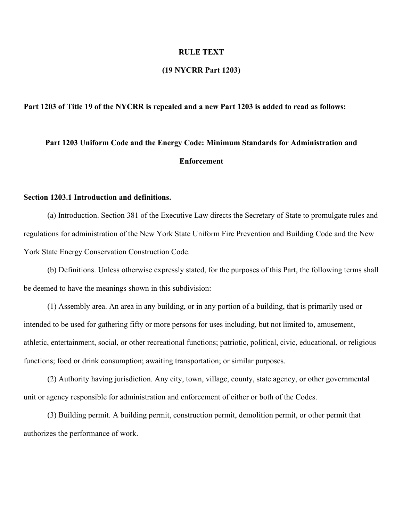#### **RULE TEXT**

# **(19 NYCRR Part 1203)**

# **Part 1203 of Title 19 of the NYCRR is repealed and a new Part 1203 is added to read as follows:**

# **Part 1203 Uniform Code and the Energy Code: Minimum Standards for Administration and Enforcement**

# **Section 1203.1 Introduction and definitions.**

(a) Introduction. Section 381 of the Executive Law directs the Secretary of State to promulgate rules and regulations for administration of the New York State Uniform Fire Prevention and Building Code and the New York State Energy Conservation Construction Code.

(b) Definitions. Unless otherwise expressly stated, for the purposes of this Part, the following terms shall be deemed to have the meanings shown in this subdivision:

(1) Assembly area. An area in any building, or in any portion of a building, that is primarily used or intended to be used for gathering fifty or more persons for uses including, but not limited to, amusement, athletic, entertainment, social, or other recreational functions; patriotic, political, civic, educational, or religious functions; food or drink consumption; awaiting transportation; or similar purposes.

(2) Authority having jurisdiction. Any city, town, village, county, state agency, or other governmental unit or agency responsible for administration and enforcement of either or both of the Codes.

(3) Building permit. A building permit, construction permit, demolition permit, or other permit that authorizes the performance of work.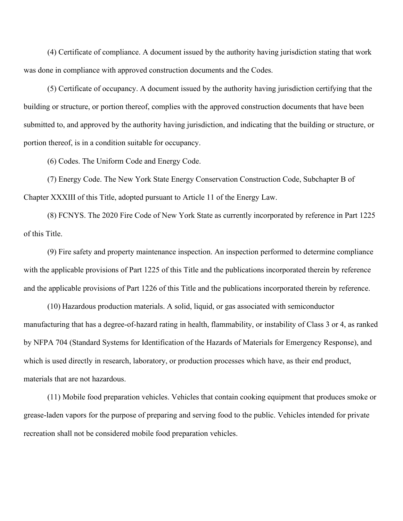(4) Certificate of compliance. A document issued by the authority having jurisdiction stating that work was done in compliance with approved construction documents and the Codes.

(5) Certificate of occupancy. A document issued by the authority having jurisdiction certifying that the building or structure, or portion thereof, complies with the approved construction documents that have been submitted to, and approved by the authority having jurisdiction, and indicating that the building or structure, or portion thereof, is in a condition suitable for occupancy.

(6) Codes. The Uniform Code and Energy Code.

(7) Energy Code. The New York State Energy Conservation Construction Code, Subchapter B of Chapter XXXIII of this Title, adopted pursuant to Article 11 of the Energy Law.

(8) FCNYS. The 2020 Fire Code of New York State as currently incorporated by reference in Part 1225 of this Title.

(9) Fire safety and property maintenance inspection. An inspection performed to determine compliance with the applicable provisions of Part 1225 of this Title and the publications incorporated therein by reference and the applicable provisions of Part 1226 of this Title and the publications incorporated therein by reference.

(10) Hazardous production materials. A solid, liquid, or gas associated with semiconductor manufacturing that has a degree-of-hazard rating in health, flammability, or instability of Class 3 or 4, as ranked by NFPA 704 (Standard Systems for Identification of the Hazards of Materials for Emergency Response), and which is used directly in research, laboratory, or production processes which have, as their end product, materials that are not hazardous.

(11) Mobile food preparation vehicles. Vehicles that contain cooking equipment that produces smoke or grease-laden vapors for the purpose of preparing and serving food to the public. Vehicles intended for private recreation shall not be considered mobile food preparation vehicles.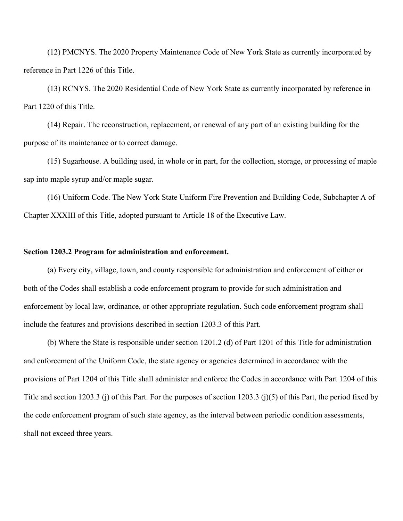(12) PMCNYS. The 2020 Property Maintenance Code of New York State as currently incorporated by reference in Part 1226 of this Title.

(13) RCNYS. The 2020 Residential Code of New York State as currently incorporated by reference in Part 1220 of this Title.

(14) Repair. The reconstruction, replacement, or renewal of any part of an existing building for the purpose of its maintenance or to correct damage.

(15) Sugarhouse. A building used, in whole or in part, for the collection, storage, or processing of maple sap into maple syrup and/or maple sugar.

(16) Uniform Code. The New York State Uniform Fire Prevention and Building Code, Subchapter A of Chapter XXXIII of this Title, adopted pursuant to Article 18 of the Executive Law.

# **Section 1203.2 Program for administration and enforcement.**

(a) Every city, village, town, and county responsible for administration and enforcement of either or both of the Codes shall establish a code enforcement program to provide for such administration and enforcement by local law, ordinance, or other appropriate regulation. Such code enforcement program shall include the features and provisions described in section 1203.3 of this Part.

(b) Where the State is responsible under section 1201.2 (d) of Part 1201 of this Title for administration and enforcement of the Uniform Code, the state agency or agencies determined in accordance with the provisions of Part 1204 of this Title shall administer and enforce the Codes in accordance with Part 1204 of this Title and section 1203.3 (j) of this Part. For the purposes of section 1203.3 (j)(5) of this Part, the period fixed by the code enforcement program of such state agency, as the interval between periodic condition assessments, shall not exceed three years.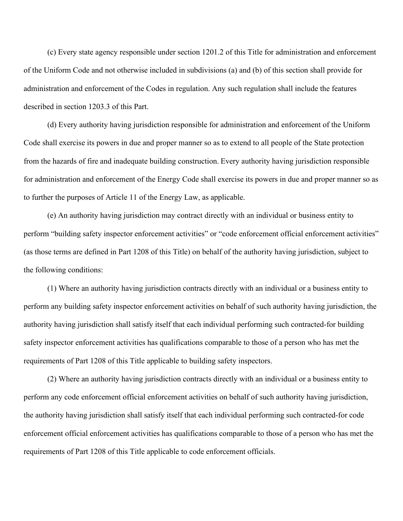(c) Every state agency responsible under section 1201.2 of this Title for administration and enforcement of the Uniform Code and not otherwise included in subdivisions (a) and (b) of this section shall provide for administration and enforcement of the Codes in regulation. Any such regulation shall include the features described in section 1203.3 of this Part.

(d) Every authority having jurisdiction responsible for administration and enforcement of the Uniform Code shall exercise its powers in due and proper manner so as to extend to all people of the State protection from the hazards of fire and inadequate building construction. Every authority having jurisdiction responsible for administration and enforcement of the Energy Code shall exercise its powers in due and proper manner so as to further the purposes of Article 11 of the Energy Law, as applicable.

(e) An authority having jurisdiction may contract directly with an individual or business entity to perform "building safety inspector enforcement activities" or "code enforcement official enforcement activities" (as those terms are defined in Part 1208 of this Title) on behalf of the authority having jurisdiction, subject to the following conditions:

(1) Where an authority having jurisdiction contracts directly with an individual or a business entity to perform any building safety inspector enforcement activities on behalf of such authority having jurisdiction, the authority having jurisdiction shall satisfy itself that each individual performing such contracted-for building safety inspector enforcement activities has qualifications comparable to those of a person who has met the requirements of Part 1208 of this Title applicable to building safety inspectors.

(2) Where an authority having jurisdiction contracts directly with an individual or a business entity to perform any code enforcement official enforcement activities on behalf of such authority having jurisdiction, the authority having jurisdiction shall satisfy itself that each individual performing such contracted-for code enforcement official enforcement activities has qualifications comparable to those of a person who has met the requirements of Part 1208 of this Title applicable to code enforcement officials.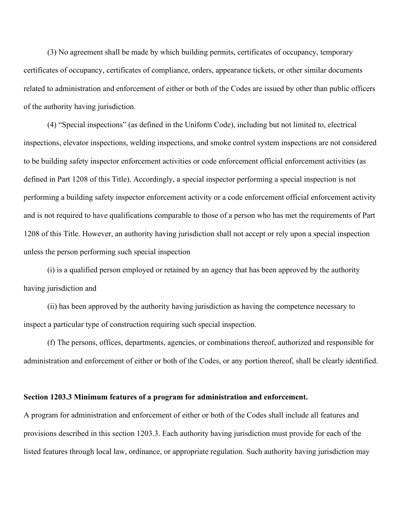(3) No agreement shall be made by which building permits, certificates of occupancy, temporary certificates of occupancy, certificates of compliance, orders, appearance tickets, or other similar documents related to administration and enforcement of either or both of the Codes are issued by other than public officers of the authority having jurisdiction.

(4) "Special inspections" (as defined in the Uniform Code), including but not limited to, electrical inspections, elevator inspections, welding inspections, and smoke control system inspections are not considered to be building safety inspector enforcement activities or code enforcement official enforcement activities (as defined in Part 1208 of this Title). Accordingly, a special inspector performing a special inspection is not performing a building safety inspector enforcement activity or a code enforcement official enforcement activity and is not required to have qualifications comparable to those of a person who has met the requirements of Part 1208 of this Title. However, an authority having jurisdiction shall not accept or rely upon a special inspection unless the person performing such special inspection

(i) is a qualified person employed or retained by an agency that has been approved by the authority having jurisdiction and

(ii) has been approved by the authority having jurisdiction as having the competence necessary to inspect a particular type of construction requiring such special inspection.

(f) The persons, offices, departments, agencies, or combinations thereof, authorized and responsible for administration and enforcement of either or both of the Codes, or any portion thereof, shall be clearly identified.

#### **Section 1203.3 Minimum features of a program for administration and enforcement.**

A program for administration and enforcement of either or both of the Codes shall include all features and provisions described in this section 1203.3. Each authority having jurisdiction must provide for each of the listed features through local law, ordinance, or appropriate regulation. Such authority having jurisdiction may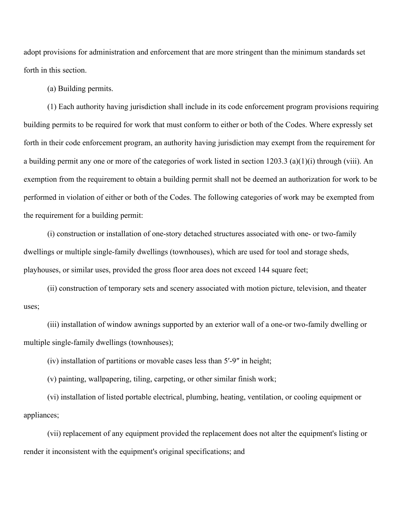adopt provisions for administration and enforcement that are more stringent than the minimum standards set forth in this section.

(a) Building permits.

(1) Each authority having jurisdiction shall include in its code enforcement program provisions requiring building permits to be required for work that must conform to either or both of the Codes. Where expressly set forth in their code enforcement program, an authority having jurisdiction may exempt from the requirement for a building permit any one or more of the categories of work listed in section 1203.3 (a)(1)(i) through (viii). An exemption from the requirement to obtain a building permit shall not be deemed an authorization for work to be performed in violation of either or both of the Codes. The following categories of work may be exempted from the requirement for a building permit:

(i) construction or installation of one-story detached structures associated with one- or two-family dwellings or multiple single-family dwellings (townhouses), which are used for tool and storage sheds, playhouses, or similar uses, provided the gross floor area does not exceed 144 square feet;

(ii) construction of temporary sets and scenery associated with motion picture, television, and theater uses;

(iii) installation of window awnings supported by an exterior wall of a one-or two-family dwelling or multiple single-family dwellings (townhouses);

(iv) installation of partitions or movable cases less than 5′-9″ in height;

(v) painting, wallpapering, tiling, carpeting, or other similar finish work;

(vi) installation of listed portable electrical, plumbing, heating, ventilation, or cooling equipment or appliances;

(vii) replacement of any equipment provided the replacement does not alter the equipment's listing or render it inconsistent with the equipment's original specifications; and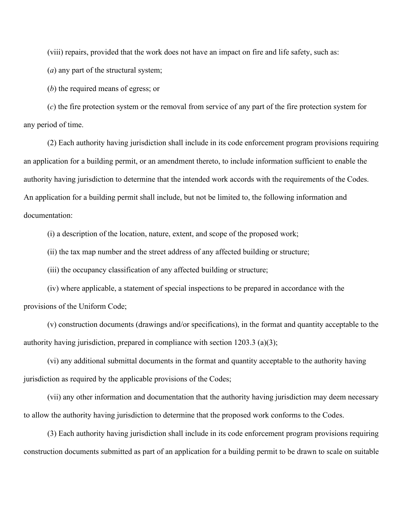(viii) repairs, provided that the work does not have an impact on fire and life safety, such as:

(*a*) any part of the structural system;

(*b*) the required means of egress; or

(*c*) the fire protection system or the removal from service of any part of the fire protection system for any period of time.

(2) Each authority having jurisdiction shall include in its code enforcement program provisions requiring an application for a building permit, or an amendment thereto, to include information sufficient to enable the authority having jurisdiction to determine that the intended work accords with the requirements of the Codes. An application for a building permit shall include, but not be limited to, the following information and documentation:

(i) a description of the location, nature, extent, and scope of the proposed work;

(ii) the tax map number and the street address of any affected building or structure;

(iii) the occupancy classification of any affected building or structure;

(iv) where applicable, a statement of special inspections to be prepared in accordance with the provisions of the Uniform Code;

(v) construction documents (drawings and/or specifications), in the format and quantity acceptable to the authority having jurisdiction, prepared in compliance with section 1203.3 (a)(3);

(vi) any additional submittal documents in the format and quantity acceptable to the authority having jurisdiction as required by the applicable provisions of the Codes;

(vii) any other information and documentation that the authority having jurisdiction may deem necessary to allow the authority having jurisdiction to determine that the proposed work conforms to the Codes.

(3) Each authority having jurisdiction shall include in its code enforcement program provisions requiring construction documents submitted as part of an application for a building permit to be drawn to scale on suitable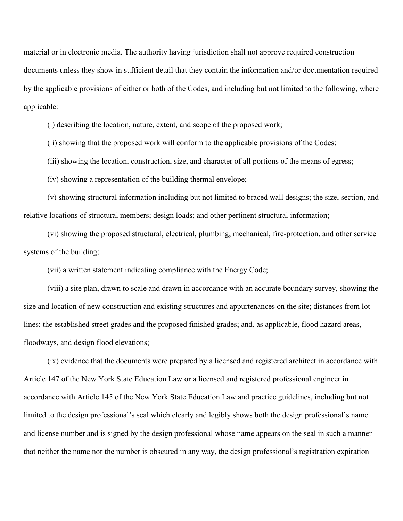material or in electronic media. The authority having jurisdiction shall not approve required construction documents unless they show in sufficient detail that they contain the information and/or documentation required by the applicable provisions of either or both of the Codes, and including but not limited to the following, where applicable:

(i) describing the location, nature, extent, and scope of the proposed work;

(ii) showing that the proposed work will conform to the applicable provisions of the Codes;

(iii) showing the location, construction, size, and character of all portions of the means of egress;

(iv) showing a representation of the building thermal envelope;

(v) showing structural information including but not limited to braced wall designs; the size, section, and relative locations of structural members; design loads; and other pertinent structural information;

(vi) showing the proposed structural, electrical, plumbing, mechanical, fire-protection, and other service systems of the building;

(vii) a written statement indicating compliance with the Energy Code;

(viii) a site plan, drawn to scale and drawn in accordance with an accurate boundary survey, showing the size and location of new construction and existing structures and appurtenances on the site; distances from lot lines; the established street grades and the proposed finished grades; and, as applicable, flood hazard areas, floodways, and design flood elevations;

(ix) evidence that the documents were prepared by a licensed and registered architect in accordance with Article 147 of the New York State Education Law or a licensed and registered professional engineer in accordance with Article 145 of the New York State Education Law and practice guidelines, including but not limited to the design professional's seal which clearly and legibly shows both the design professional's name and license number and is signed by the design professional whose name appears on the seal in such a manner that neither the name nor the number is obscured in any way, the design professional's registration expiration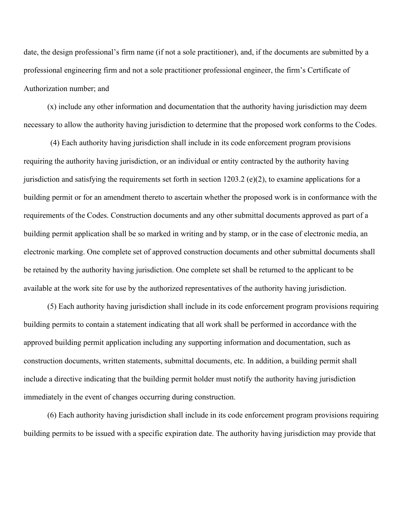date, the design professional's firm name (if not a sole practitioner), and, if the documents are submitted by a professional engineering firm and not a sole practitioner professional engineer, the firm's Certificate of Authorization number; and

(x) include any other information and documentation that the authority having jurisdiction may deem necessary to allow the authority having jurisdiction to determine that the proposed work conforms to the Codes.

(4) Each authority having jurisdiction shall include in its code enforcement program provisions requiring the authority having jurisdiction, or an individual or entity contracted by the authority having jurisdiction and satisfying the requirements set forth in section 1203.2 (e)(2), to examine applications for a building permit or for an amendment thereto to ascertain whether the proposed work is in conformance with the requirements of the Codes. Construction documents and any other submittal documents approved as part of a building permit application shall be so marked in writing and by stamp, or in the case of electronic media, an electronic marking. One complete set of approved construction documents and other submittal documents shall be retained by the authority having jurisdiction. One complete set shall be returned to the applicant to be available at the work site for use by the authorized representatives of the authority having jurisdiction.

(5) Each authority having jurisdiction shall include in its code enforcement program provisions requiring building permits to contain a statement indicating that all work shall be performed in accordance with the approved building permit application including any supporting information and documentation, such as construction documents, written statements, submittal documents, etc. In addition, a building permit shall include a directive indicating that the building permit holder must notify the authority having jurisdiction immediately in the event of changes occurring during construction.

(6) Each authority having jurisdiction shall include in its code enforcement program provisions requiring building permits to be issued with a specific expiration date. The authority having jurisdiction may provide that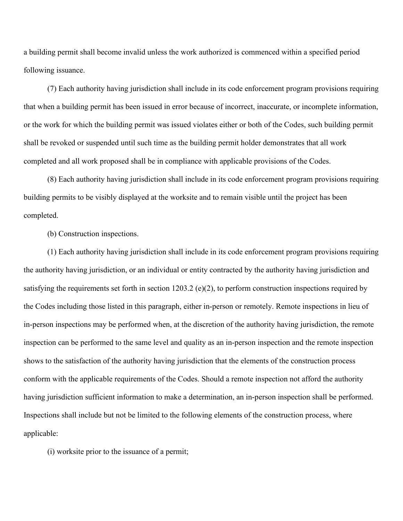a building permit shall become invalid unless the work authorized is commenced within a specified period following issuance.

(7) Each authority having jurisdiction shall include in its code enforcement program provisions requiring that when a building permit has been issued in error because of incorrect, inaccurate, or incomplete information, or the work for which the building permit was issued violates either or both of the Codes, such building permit shall be revoked or suspended until such time as the building permit holder demonstrates that all work completed and all work proposed shall be in compliance with applicable provisions of the Codes.

(8) Each authority having jurisdiction shall include in its code enforcement program provisions requiring building permits to be visibly displayed at the worksite and to remain visible until the project has been completed.

(b) Construction inspections.

(1) Each authority having jurisdiction shall include in its code enforcement program provisions requiring the authority having jurisdiction, or an individual or entity contracted by the authority having jurisdiction and satisfying the requirements set forth in section 1203.2 (e)(2), to perform construction inspections required by the Codes including those listed in this paragraph, either in-person or remotely. Remote inspections in lieu of in-person inspections may be performed when, at the discretion of the authority having jurisdiction, the remote inspection can be performed to the same level and quality as an in-person inspection and the remote inspection shows to the satisfaction of the authority having jurisdiction that the elements of the construction process conform with the applicable requirements of the Codes. Should a remote inspection not afford the authority having jurisdiction sufficient information to make a determination, an in-person inspection shall be performed. Inspections shall include but not be limited to the following elements of the construction process, where applicable:

(i) worksite prior to the issuance of a permit;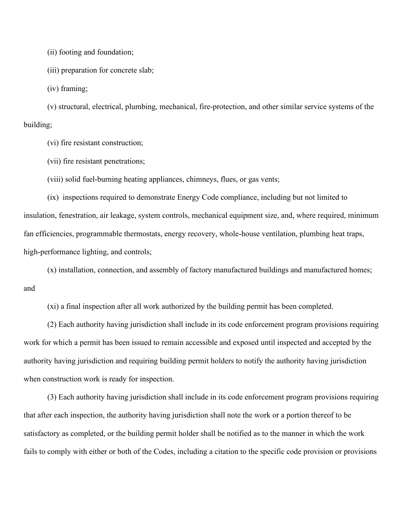(ii) footing and foundation;

(iii) preparation for concrete slab;

(iv) framing;

(v) structural, electrical, plumbing, mechanical, fire-protection, and other similar service systems of the building;

(vi) fire resistant construction;

(vii) fire resistant penetrations;

(viii) solid fuel-burning heating appliances, chimneys, flues, or gas vents;

(ix) inspections required to demonstrate Energy Code compliance, including but not limited to insulation, fenestration, air leakage, system controls, mechanical equipment size, and, where required, minimum fan efficiencies, programmable thermostats, energy recovery, whole-house ventilation, plumbing heat traps, high-performance lighting, and controls;

(x) installation, connection, and assembly of factory manufactured buildings and manufactured homes; and

(xi) a final inspection after all work authorized by the building permit has been completed.

(2) Each authority having jurisdiction shall include in its code enforcement program provisions requiring work for which a permit has been issued to remain accessible and exposed until inspected and accepted by the authority having jurisdiction and requiring building permit holders to notify the authority having jurisdiction when construction work is ready for inspection.

(3) Each authority having jurisdiction shall include in its code enforcement program provisions requiring that after each inspection, the authority having jurisdiction shall note the work or a portion thereof to be satisfactory as completed, or the building permit holder shall be notified as to the manner in which the work fails to comply with either or both of the Codes, including a citation to the specific code provision or provisions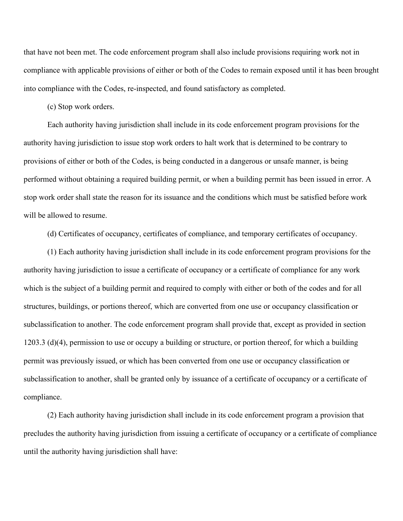that have not been met. The code enforcement program shall also include provisions requiring work not in compliance with applicable provisions of either or both of the Codes to remain exposed until it has been brought into compliance with the Codes, re-inspected, and found satisfactory as completed.

(c) Stop work orders.

Each authority having jurisdiction shall include in its code enforcement program provisions for the authority having jurisdiction to issue stop work orders to halt work that is determined to be contrary to provisions of either or both of the Codes, is being conducted in a dangerous or unsafe manner, is being performed without obtaining a required building permit, or when a building permit has been issued in error. A stop work order shall state the reason for its issuance and the conditions which must be satisfied before work will be allowed to resume.

(d) Certificates of occupancy, certificates of compliance, and temporary certificates of occupancy.

(1) Each authority having jurisdiction shall include in its code enforcement program provisions for the authority having jurisdiction to issue a certificate of occupancy or a certificate of compliance for any work which is the subject of a building permit and required to comply with either or both of the codes and for all structures, buildings, or portions thereof, which are converted from one use or occupancy classification or subclassification to another. The code enforcement program shall provide that, except as provided in section 1203.3 (d)(4), permission to use or occupy a building or structure, or portion thereof, for which a building permit was previously issued, or which has been converted from one use or occupancy classification or subclassification to another, shall be granted only by issuance of a certificate of occupancy or a certificate of compliance.

(2) Each authority having jurisdiction shall include in its code enforcement program a provision that precludes the authority having jurisdiction from issuing a certificate of occupancy or a certificate of compliance until the authority having jurisdiction shall have: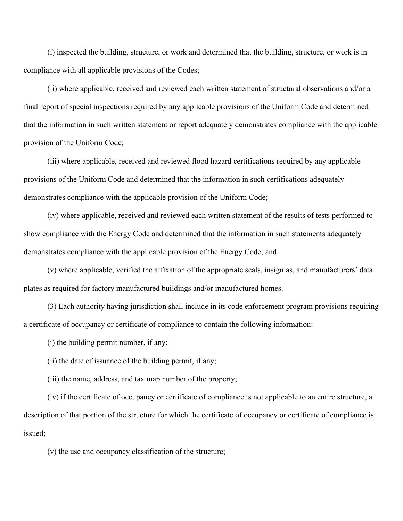(i) inspected the building, structure, or work and determined that the building, structure, or work is in compliance with all applicable provisions of the Codes;

(ii) where applicable, received and reviewed each written statement of structural observations and/or a final report of special inspections required by any applicable provisions of the Uniform Code and determined that the information in such written statement or report adequately demonstrates compliance with the applicable provision of the Uniform Code;

(iii) where applicable, received and reviewed flood hazard certifications required by any applicable provisions of the Uniform Code and determined that the information in such certifications adequately demonstrates compliance with the applicable provision of the Uniform Code;

(iv) where applicable, received and reviewed each written statement of the results of tests performed to show compliance with the Energy Code and determined that the information in such statements adequately demonstrates compliance with the applicable provision of the Energy Code; and

(v) where applicable, verified the affixation of the appropriate seals, insignias, and manufacturers' data plates as required for factory manufactured buildings and/or manufactured homes.

(3) Each authority having jurisdiction shall include in its code enforcement program provisions requiring a certificate of occupancy or certificate of compliance to contain the following information:

- (i) the building permit number, if any;
- (ii) the date of issuance of the building permit, if any;
- (iii) the name, address, and tax map number of the property;

(iv) if the certificate of occupancy or certificate of compliance is not applicable to an entire structure, a description of that portion of the structure for which the certificate of occupancy or certificate of compliance is issued;

(v) the use and occupancy classification of the structure;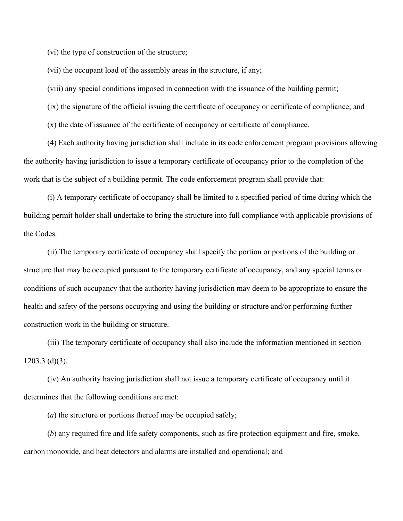(vi) the type of construction of the structure;

(vii) the occupant load of the assembly areas in the structure, if any;

(viii) any special conditions imposed in connection with the issuance of the building permit;

(ix) the signature of the official issuing the certificate of occupancy or certificate of compliance; and

(x) the date of issuance of the certificate of occupancy or certificate of compliance.

(4) Each authority having jurisdiction shall include in its code enforcement program provisions allowing the authority having jurisdiction to issue a temporary certificate of occupancy prior to the completion of the work that is the subject of a building permit. The code enforcement program shall provide that:

(i) A temporary certificate of occupancy shall be limited to a specified period of time during which the building permit holder shall undertake to bring the structure into full compliance with applicable provisions of the Codes.

(ii) The temporary certificate of occupancy shall specify the portion or portions of the building or structure that may be occupied pursuant to the temporary certificate of occupancy, and any special terms or conditions of such occupancy that the authority having jurisdiction may deem to be appropriate to ensure the health and safety of the persons occupying and using the building or structure and/or performing further construction work in the building or structure.

(iii) The temporary certificate of occupancy shall also include the information mentioned in section 1203.3 (d)(3).

(iv) An authority having jurisdiction shall not issue a temporary certificate of occupancy until it determines that the following conditions are met:

(*a*) the structure or portions thereof may be occupied safely;

(*b*) any required fire and life safety components, such as fire protection equipment and fire, smoke, carbon monoxide, and heat detectors and alarms are installed and operational; and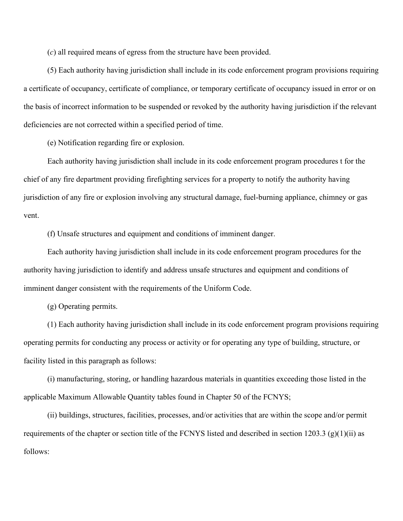(*c*) all required means of egress from the structure have been provided.

(5) Each authority having jurisdiction shall include in its code enforcement program provisions requiring a certificate of occupancy, certificate of compliance, or temporary certificate of occupancy issued in error or on the basis of incorrect information to be suspended or revoked by the authority having jurisdiction if the relevant deficiencies are not corrected within a specified period of time.

(e) Notification regarding fire or explosion.

Each authority having jurisdiction shall include in its code enforcement program procedures t for the chief of any fire department providing firefighting services for a property to notify the authority having jurisdiction of any fire or explosion involving any structural damage, fuel-burning appliance, chimney or gas vent.

(f) Unsafe structures and equipment and conditions of imminent danger.

Each authority having jurisdiction shall include in its code enforcement program procedures for the authority having jurisdiction to identify and address unsafe structures and equipment and conditions of imminent danger consistent with the requirements of the Uniform Code.

(g) Operating permits.

(1) Each authority having jurisdiction shall include in its code enforcement program provisions requiring operating permits for conducting any process or activity or for operating any type of building, structure, or facility listed in this paragraph as follows:

(i) manufacturing, storing, or handling hazardous materials in quantities exceeding those listed in the applicable Maximum Allowable Quantity tables found in Chapter 50 of the FCNYS;

(ii) buildings, structures, facilities, processes, and/or activities that are within the scope and/or permit requirements of the chapter or section title of the FCNYS listed and described in section 1203.3 (g)(1)(ii) as follows: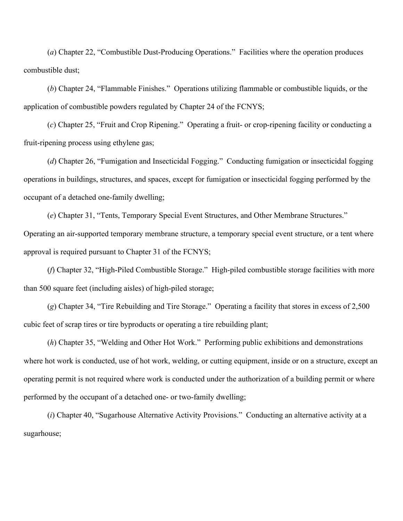(*a*) Chapter 22, "Combustible Dust-Producing Operations." Facilities where the operation produces combustible dust;

(*b*) Chapter 24, "Flammable Finishes." Operations utilizing flammable or combustible liquids, or the application of combustible powders regulated by Chapter 24 of the FCNYS;

(*c*) Chapter 25, "Fruit and Crop Ripening." Operating a fruit- or crop-ripening facility or conducting a fruit-ripening process using ethylene gas;

(*d*) Chapter 26, "Fumigation and Insecticidal Fogging." Conducting fumigation or insecticidal fogging operations in buildings, structures, and spaces, except for fumigation or insecticidal fogging performed by the occupant of a detached one-family dwelling;

(*e*) Chapter 31, "Tents, Temporary Special Event Structures, and Other Membrane Structures." Operating an air-supported temporary membrane structure, a temporary special event structure, or a tent where approval is required pursuant to Chapter 31 of the FCNYS;

(*f*) Chapter 32, "High-Piled Combustible Storage." High-piled combustible storage facilities with more than 500 square feet (including aisles) of high-piled storage;

(*g*) Chapter 34, "Tire Rebuilding and Tire Storage." Operating a facility that stores in excess of 2,500 cubic feet of scrap tires or tire byproducts or operating a tire rebuilding plant;

(*h*) Chapter 35, "Welding and Other Hot Work." Performing public exhibitions and demonstrations where hot work is conducted, use of hot work, welding, or cutting equipment, inside or on a structure, except an operating permit is not required where work is conducted under the authorization of a building permit or where performed by the occupant of a detached one- or two-family dwelling;

(*i*) Chapter 40, "Sugarhouse Alternative Activity Provisions." Conducting an alternative activity at a sugarhouse;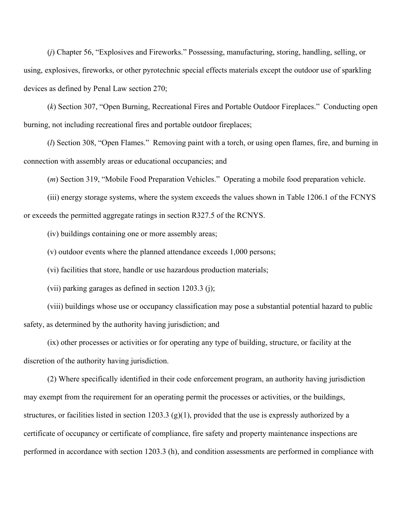(*j*) Chapter 56, "Explosives and Fireworks." Possessing, manufacturing, storing, handling, selling, or using, explosives, fireworks, or other pyrotechnic special effects materials except the outdoor use of sparkling devices as defined by Penal Law section 270;

(*k*) Section 307, "Open Burning, Recreational Fires and Portable Outdoor Fireplaces." Conducting open burning, not including recreational fires and portable outdoor fireplaces;

(*l*) Section 308, "Open Flames." Removing paint with a torch, or using open flames, fire, and burning in connection with assembly areas or educational occupancies; and

(*m*) Section 319, "Mobile Food Preparation Vehicles." Operating a mobile food preparation vehicle.

(iii) energy storage systems, where the system exceeds the values shown in Table 1206.1 of the FCNYS or exceeds the permitted aggregate ratings in section R327.5 of the RCNYS.

(iv) buildings containing one or more assembly areas;

(v) outdoor events where the planned attendance exceeds 1,000 persons;

(vi) facilities that store, handle or use hazardous production materials;

(vii) parking garages as defined in section 1203.3 (j);

(viii) buildings whose use or occupancy classification may pose a substantial potential hazard to public safety, as determined by the authority having jurisdiction; and

(ix) other processes or activities or for operating any type of building, structure, or facility at the discretion of the authority having jurisdiction.

(2) Where specifically identified in their code enforcement program, an authority having jurisdiction may exempt from the requirement for an operating permit the processes or activities, or the buildings, structures, or facilities listed in section 1203.3 (g)(1), provided that the use is expressly authorized by a certificate of occupancy or certificate of compliance, fire safety and property maintenance inspections are performed in accordance with section 1203.3 (h), and condition assessments are performed in compliance with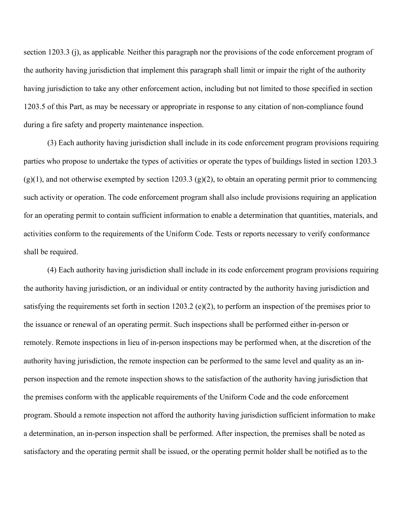section 1203.3 (j), as applicable. Neither this paragraph nor the provisions of the code enforcement program of the authority having jurisdiction that implement this paragraph shall limit or impair the right of the authority having jurisdiction to take any other enforcement action, including but not limited to those specified in section 1203.5 of this Part, as may be necessary or appropriate in response to any citation of non-compliance found during a fire safety and property maintenance inspection.

(3) Each authority having jurisdiction shall include in its code enforcement program provisions requiring parties who propose to undertake the types of activities or operate the types of buildings listed in section 1203.3  $(g)(1)$ , and not otherwise exempted by section 1203.3  $(g)(2)$ , to obtain an operating permit prior to commencing such activity or operation. The code enforcement program shall also include provisions requiring an application for an operating permit to contain sufficient information to enable a determination that quantities, materials, and activities conform to the requirements of the Uniform Code. Tests or reports necessary to verify conformance shall be required.

(4) Each authority having jurisdiction shall include in its code enforcement program provisions requiring the authority having jurisdiction, or an individual or entity contracted by the authority having jurisdiction and satisfying the requirements set forth in section 1203.2 (e)(2), to perform an inspection of the premises prior to the issuance or renewal of an operating permit. Such inspections shall be performed either in-person or remotely. Remote inspections in lieu of in-person inspections may be performed when, at the discretion of the authority having jurisdiction, the remote inspection can be performed to the same level and quality as an inperson inspection and the remote inspection shows to the satisfaction of the authority having jurisdiction that the premises conform with the applicable requirements of the Uniform Code and the code enforcement program. Should a remote inspection not afford the authority having jurisdiction sufficient information to make a determination, an in-person inspection shall be performed. After inspection, the premises shall be noted as satisfactory and the operating permit shall be issued, or the operating permit holder shall be notified as to the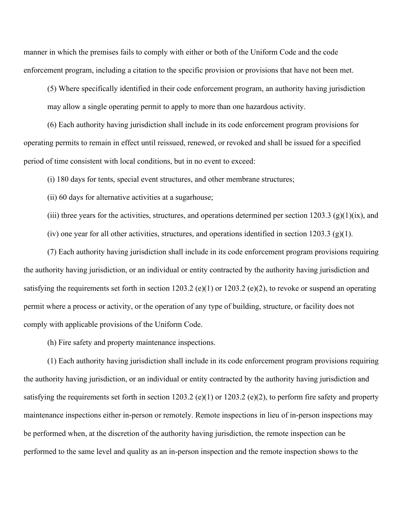manner in which the premises fails to comply with either or both of the Uniform Code and the code enforcement program, including a citation to the specific provision or provisions that have not been met.

(5) Where specifically identified in their code enforcement program, an authority having jurisdiction may allow a single operating permit to apply to more than one hazardous activity.

(6) Each authority having jurisdiction shall include in its code enforcement program provisions for operating permits to remain in effect until reissued, renewed, or revoked and shall be issued for a specified period of time consistent with local conditions, but in no event to exceed:

(i) 180 days for tents, special event structures, and other membrane structures;

(ii) 60 days for alternative activities at a sugarhouse;

(iii) three years for the activities, structures, and operations determined per section 1203.3 (g)(1)(ix), and

(iv) one year for all other activities, structures, and operations identified in section 1203.3 (g)(1).

(7) Each authority having jurisdiction shall include in its code enforcement program provisions requiring the authority having jurisdiction, or an individual or entity contracted by the authority having jurisdiction and satisfying the requirements set forth in section 1203.2 (e)(1) or 1203.2 (e)(2), to revoke or suspend an operating permit where a process or activity, or the operation of any type of building, structure, or facility does not comply with applicable provisions of the Uniform Code.

(h) Fire safety and property maintenance inspections.

(1) Each authority having jurisdiction shall include in its code enforcement program provisions requiring the authority having jurisdiction, or an individual or entity contracted by the authority having jurisdiction and satisfying the requirements set forth in section 1203.2 (e)(1) or 1203.2 (e)(2), to perform fire safety and property maintenance inspections either in-person or remotely. Remote inspections in lieu of in-person inspections may be performed when, at the discretion of the authority having jurisdiction, the remote inspection can be performed to the same level and quality as an in-person inspection and the remote inspection shows to the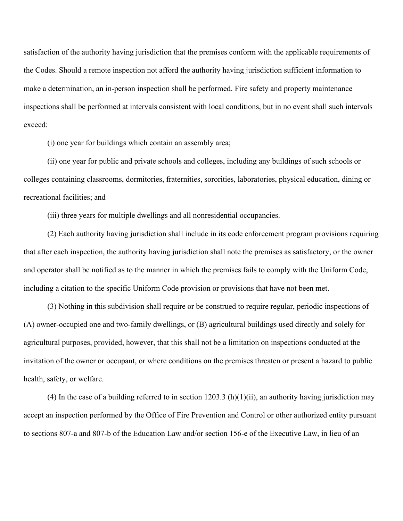satisfaction of the authority having jurisdiction that the premises conform with the applicable requirements of the Codes. Should a remote inspection not afford the authority having jurisdiction sufficient information to make a determination, an in-person inspection shall be performed. Fire safety and property maintenance inspections shall be performed at intervals consistent with local conditions, but in no event shall such intervals exceed:

(i) one year for buildings which contain an assembly area;

(ii) one year for public and private schools and colleges, including any buildings of such schools or colleges containing classrooms, dormitories, fraternities, sororities, laboratories, physical education, dining or recreational facilities; and

(iii) three years for multiple dwellings and all nonresidential occupancies.

(2) Each authority having jurisdiction shall include in its code enforcement program provisions requiring that after each inspection, the authority having jurisdiction shall note the premises as satisfactory, or the owner and operator shall be notified as to the manner in which the premises fails to comply with the Uniform Code, including a citation to the specific Uniform Code provision or provisions that have not been met.

(3) Nothing in this subdivision shall require or be construed to require regular, periodic inspections of (A) owner-occupied one and two-family dwellings, or (B) agricultural buildings used directly and solely for agricultural purposes, provided, however, that this shall not be a limitation on inspections conducted at the invitation of the owner or occupant, or where conditions on the premises threaten or present a hazard to public health, safety, or welfare.

(4) In the case of a building referred to in section  $1203.3$  (h)(1)(ii), an authority having jurisdiction may accept an inspection performed by the Office of Fire Prevention and Control or other authorized entity pursuant to sections 807-a and 807-b of the Education Law and/or section 156-e of the Executive Law, in lieu of an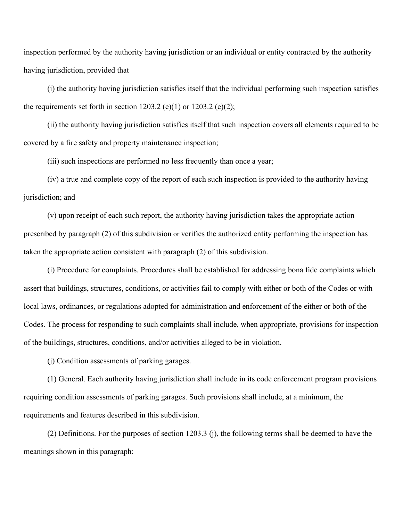inspection performed by the authority having jurisdiction or an individual or entity contracted by the authority having jurisdiction, provided that

(i) the authority having jurisdiction satisfies itself that the individual performing such inspection satisfies the requirements set forth in section 1203.2 (e)(1) or 1203.2 (e)(2);

(ii) the authority having jurisdiction satisfies itself that such inspection covers all elements required to be covered by a fire safety and property maintenance inspection;

(iii) such inspections are performed no less frequently than once a year;

(iv) a true and complete copy of the report of each such inspection is provided to the authority having jurisdiction; and

(v) upon receipt of each such report, the authority having jurisdiction takes the appropriate action prescribed by paragraph (2) of this subdivision or verifies the authorized entity performing the inspection has taken the appropriate action consistent with paragraph (2) of this subdivision.

(i) Procedure for complaints. Procedures shall be established for addressing bona fide complaints which assert that buildings, structures, conditions, or activities fail to comply with either or both of the Codes or with local laws, ordinances, or regulations adopted for administration and enforcement of the either or both of the Codes. The process for responding to such complaints shall include, when appropriate, provisions for inspection of the buildings, structures, conditions, and/or activities alleged to be in violation.

(j) Condition assessments of parking garages.

(1) General. Each authority having jurisdiction shall include in its code enforcement program provisions requiring condition assessments of parking garages. Such provisions shall include, at a minimum, the requirements and features described in this subdivision.

(2) Definitions. For the purposes of section 1203.3 (j), the following terms shall be deemed to have the meanings shown in this paragraph: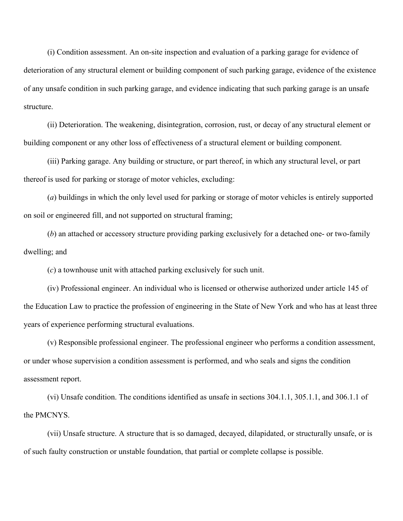(i) Condition assessment. An on-site inspection and evaluation of a parking garage for evidence of deterioration of any structural element or building component of such parking garage, evidence of the existence of any unsafe condition in such parking garage, and evidence indicating that such parking garage is an unsafe structure.

(ii) Deterioration. The weakening, disintegration, corrosion, rust, or decay of any structural element or building component or any other loss of effectiveness of a structural element or building component.

(iii) Parking garage. Any building or structure, or part thereof, in which any structural level, or part thereof is used for parking or storage of motor vehicles, excluding:

(*a*) buildings in which the only level used for parking or storage of motor vehicles is entirely supported on soil or engineered fill, and not supported on structural framing;

(*b*) an attached or accessory structure providing parking exclusively for a detached one- or two-family dwelling; and

(*c*) a townhouse unit with attached parking exclusively for such unit.

(iv) Professional engineer. An individual who is licensed or otherwise authorized under article 145 of the Education Law to practice the profession of engineering in the State of New York and who has at least three years of experience performing structural evaluations.

(v) Responsible professional engineer. The professional engineer who performs a condition assessment, or under whose supervision a condition assessment is performed, and who seals and signs the condition assessment report.

(vi) Unsafe condition. The conditions identified as unsafe in sections 304.1.1, 305.1.1, and 306.1.1 of the PMCNYS.

(vii) Unsafe structure. A structure that is so damaged, decayed, dilapidated, or structurally unsafe, or is of such faulty construction or unstable foundation, that partial or complete collapse is possible.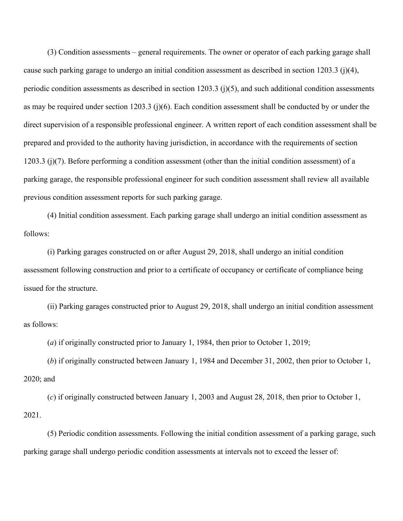(3) Condition assessments – general requirements. The owner or operator of each parking garage shall cause such parking garage to undergo an initial condition assessment as described in section 1203.3 (j)(4), periodic condition assessments as described in section 1203.3 (j)(5), and such additional condition assessments as may be required under section 1203.3 (j)(6). Each condition assessment shall be conducted by or under the direct supervision of a responsible professional engineer. A written report of each condition assessment shall be prepared and provided to the authority having jurisdiction, in accordance with the requirements of section 1203.3 (j)(7). Before performing a condition assessment (other than the initial condition assessment) of a parking garage, the responsible professional engineer for such condition assessment shall review all available previous condition assessment reports for such parking garage.

(4) Initial condition assessment. Each parking garage shall undergo an initial condition assessment as follows:

(i) Parking garages constructed on or after August 29, 2018, shall undergo an initial condition assessment following construction and prior to a certificate of occupancy or certificate of compliance being issued for the structure.

(ii) Parking garages constructed prior to August 29, 2018, shall undergo an initial condition assessment as follows:

(*a*) if originally constructed prior to January 1, 1984, then prior to October 1, 2019;

(*b*) if originally constructed between January 1, 1984 and December 31, 2002, then prior to October 1, 2020; and

(*c*) if originally constructed between January 1, 2003 and August 28, 2018, then prior to October 1, 2021.

(5) Periodic condition assessments. Following the initial condition assessment of a parking garage, such parking garage shall undergo periodic condition assessments at intervals not to exceed the lesser of: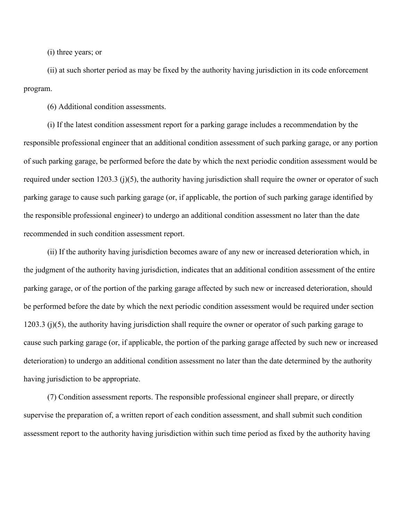(i) three years; or

(ii) at such shorter period as may be fixed by the authority having jurisdiction in its code enforcement program.

(6) Additional condition assessments.

(i) If the latest condition assessment report for a parking garage includes a recommendation by the responsible professional engineer that an additional condition assessment of such parking garage, or any portion of such parking garage, be performed before the date by which the next periodic condition assessment would be required under section 1203.3 (j)(5), the authority having jurisdiction shall require the owner or operator of such parking garage to cause such parking garage (or, if applicable, the portion of such parking garage identified by the responsible professional engineer) to undergo an additional condition assessment no later than the date recommended in such condition assessment report.

(ii) If the authority having jurisdiction becomes aware of any new or increased deterioration which, in the judgment of the authority having jurisdiction, indicates that an additional condition assessment of the entire parking garage, or of the portion of the parking garage affected by such new or increased deterioration, should be performed before the date by which the next periodic condition assessment would be required under section 1203.3 (j)(5), the authority having jurisdiction shall require the owner or operator of such parking garage to cause such parking garage (or, if applicable, the portion of the parking garage affected by such new or increased deterioration) to undergo an additional condition assessment no later than the date determined by the authority having jurisdiction to be appropriate.

(7) Condition assessment reports. The responsible professional engineer shall prepare, or directly supervise the preparation of, a written report of each condition assessment, and shall submit such condition assessment report to the authority having jurisdiction within such time period as fixed by the authority having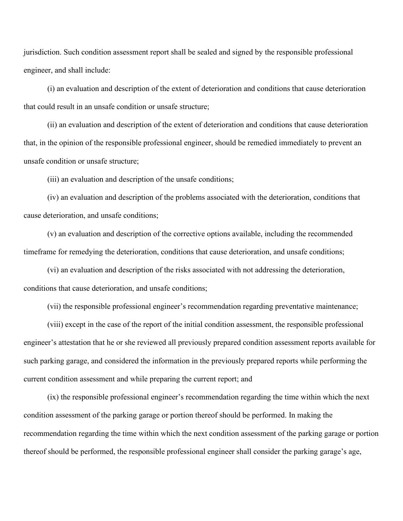jurisdiction. Such condition assessment report shall be sealed and signed by the responsible professional engineer, and shall include:

(i) an evaluation and description of the extent of deterioration and conditions that cause deterioration that could result in an unsafe condition or unsafe structure;

(ii) an evaluation and description of the extent of deterioration and conditions that cause deterioration that, in the opinion of the responsible professional engineer, should be remedied immediately to prevent an unsafe condition or unsafe structure;

(iii) an evaluation and description of the unsafe conditions;

(iv) an evaluation and description of the problems associated with the deterioration, conditions that cause deterioration, and unsafe conditions;

(v) an evaluation and description of the corrective options available, including the recommended timeframe for remedying the deterioration, conditions that cause deterioration, and unsafe conditions;

(vi) an evaluation and description of the risks associated with not addressing the deterioration, conditions that cause deterioration, and unsafe conditions;

(vii) the responsible professional engineer's recommendation regarding preventative maintenance;

(viii) except in the case of the report of the initial condition assessment, the responsible professional engineer's attestation that he or she reviewed all previously prepared condition assessment reports available for such parking garage, and considered the information in the previously prepared reports while performing the current condition assessment and while preparing the current report; and

(ix) the responsible professional engineer's recommendation regarding the time within which the next condition assessment of the parking garage or portion thereof should be performed. In making the recommendation regarding the time within which the next condition assessment of the parking garage or portion thereof should be performed, the responsible professional engineer shall consider the parking garage's age,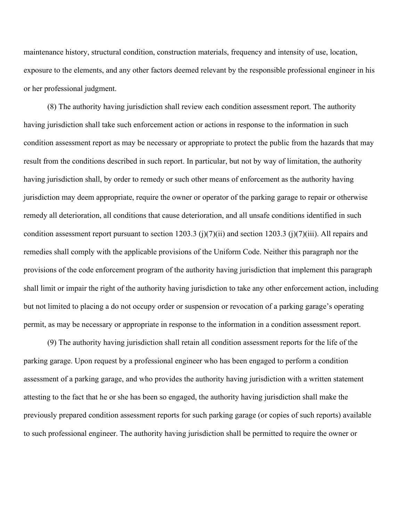maintenance history, structural condition, construction materials, frequency and intensity of use, location, exposure to the elements, and any other factors deemed relevant by the responsible professional engineer in his or her professional judgment.

(8) The authority having jurisdiction shall review each condition assessment report. The authority having jurisdiction shall take such enforcement action or actions in response to the information in such condition assessment report as may be necessary or appropriate to protect the public from the hazards that may result from the conditions described in such report. In particular, but not by way of limitation, the authority having jurisdiction shall, by order to remedy or such other means of enforcement as the authority having jurisdiction may deem appropriate, require the owner or operator of the parking garage to repair or otherwise remedy all deterioration, all conditions that cause deterioration, and all unsafe conditions identified in such condition assessment report pursuant to section 1203.3 (j)(7)(ii) and section 1203.3 (j)(7)(iii). All repairs and remedies shall comply with the applicable provisions of the Uniform Code. Neither this paragraph nor the provisions of the code enforcement program of the authority having jurisdiction that implement this paragraph shall limit or impair the right of the authority having jurisdiction to take any other enforcement action, including but not limited to placing a do not occupy order or suspension or revocation of a parking garage's operating permit, as may be necessary or appropriate in response to the information in a condition assessment report.

(9) The authority having jurisdiction shall retain all condition assessment reports for the life of the parking garage. Upon request by a professional engineer who has been engaged to perform a condition assessment of a parking garage, and who provides the authority having jurisdiction with a written statement attesting to the fact that he or she has been so engaged, the authority having jurisdiction shall make the previously prepared condition assessment reports for such parking garage (or copies of such reports) available to such professional engineer. The authority having jurisdiction shall be permitted to require the owner or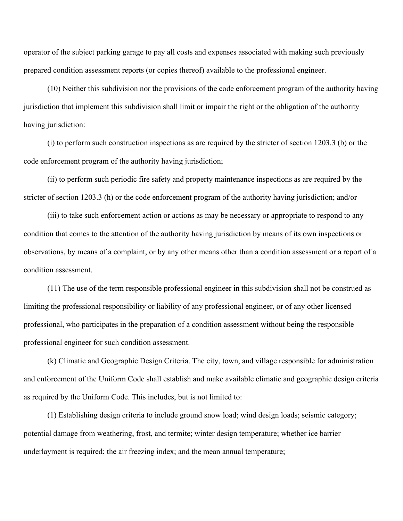operator of the subject parking garage to pay all costs and expenses associated with making such previously prepared condition assessment reports (or copies thereof) available to the professional engineer.

(10) Neither this subdivision nor the provisions of the code enforcement program of the authority having jurisdiction that implement this subdivision shall limit or impair the right or the obligation of the authority having jurisdiction:

(i) to perform such construction inspections as are required by the stricter of section 1203.3 (b) or the code enforcement program of the authority having jurisdiction;

(ii) to perform such periodic fire safety and property maintenance inspections as are required by the stricter of section 1203.3 (h) or the code enforcement program of the authority having jurisdiction; and/or

(iii) to take such enforcement action or actions as may be necessary or appropriate to respond to any condition that comes to the attention of the authority having jurisdiction by means of its own inspections or observations, by means of a complaint, or by any other means other than a condition assessment or a report of a condition assessment.

(11) The use of the term responsible professional engineer in this subdivision shall not be construed as limiting the professional responsibility or liability of any professional engineer, or of any other licensed professional, who participates in the preparation of a condition assessment without being the responsible professional engineer for such condition assessment.

(k) Climatic and Geographic Design Criteria. The city, town, and village responsible for administration and enforcement of the Uniform Code shall establish and make available climatic and geographic design criteria as required by the Uniform Code. This includes, but is not limited to:

(1) Establishing design criteria to include ground snow load; wind design loads; seismic category; potential damage from weathering, frost, and termite; winter design temperature; whether ice barrier underlayment is required; the air freezing index; and the mean annual temperature;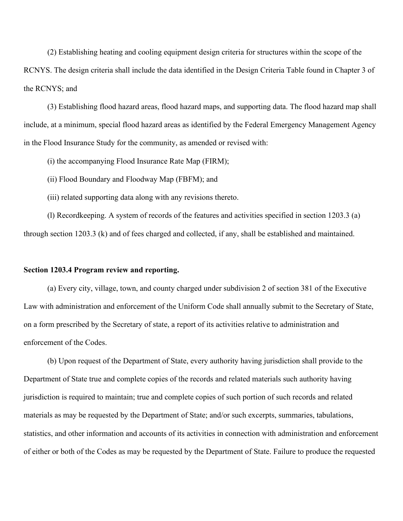(2) Establishing heating and cooling equipment design criteria for structures within the scope of the RCNYS. The design criteria shall include the data identified in the Design Criteria Table found in Chapter 3 of the RCNYS; and

(3) Establishing flood hazard areas, flood hazard maps, and supporting data. The flood hazard map shall include, at a minimum, special flood hazard areas as identified by the Federal Emergency Management Agency in the Flood Insurance Study for the community, as amended or revised with:

(i) the accompanying Flood Insurance Rate Map (FIRM);

(ii) Flood Boundary and Floodway Map (FBFM); and

(iii) related supporting data along with any revisions thereto.

(l) Recordkeeping. A system of records of the features and activities specified in section 1203.3 (a) through section 1203.3 (k) and of fees charged and collected, if any, shall be established and maintained.

# **Section 1203.4 Program review and reporting.**

(a) Every city, village, town, and county charged under subdivision 2 of section 381 of the Executive Law with administration and enforcement of the Uniform Code shall annually submit to the Secretary of State, on a form prescribed by the Secretary of state, a report of its activities relative to administration and enforcement of the Codes.

(b) Upon request of the Department of State, every authority having jurisdiction shall provide to the Department of State true and complete copies of the records and related materials such authority having jurisdiction is required to maintain; true and complete copies of such portion of such records and related materials as may be requested by the Department of State; and/or such excerpts, summaries, tabulations, statistics, and other information and accounts of its activities in connection with administration and enforcement of either or both of the Codes as may be requested by the Department of State. Failure to produce the requested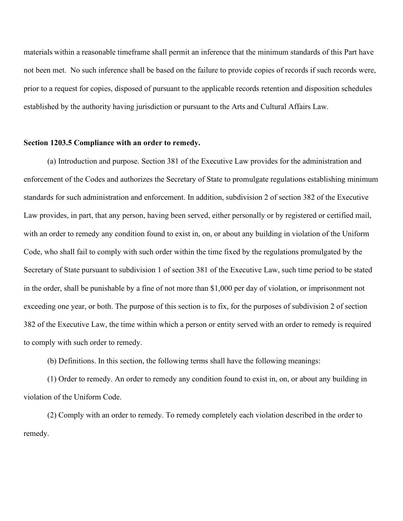materials within a reasonable timeframe shall permit an inference that the minimum standards of this Part have not been met. No such inference shall be based on the failure to provide copies of records if such records were, prior to a request for copies, disposed of pursuant to the applicable records retention and disposition schedules established by the authority having jurisdiction or pursuant to the Arts and Cultural Affairs Law.

### **Section 1203.5 Compliance with an order to remedy.**

(a) Introduction and purpose. Section 381 of the Executive Law provides for the administration and enforcement of the Codes and authorizes the Secretary of State to promulgate regulations establishing minimum standards for such administration and enforcement. In addition, subdivision 2 of section 382 of the Executive Law provides, in part, that any person, having been served, either personally or by registered or certified mail, with an order to remedy any condition found to exist in, on, or about any building in violation of the Uniform Code, who shall fail to comply with such order within the time fixed by the regulations promulgated by the Secretary of State pursuant to subdivision 1 of section 381 of the Executive Law, such time period to be stated in the order, shall be punishable by a fine of not more than \$1,000 per day of violation, or imprisonment not exceeding one year, or both. The purpose of this section is to fix, for the purposes of subdivision 2 of section 382 of the Executive Law, the time within which a person or entity served with an order to remedy is required to comply with such order to remedy.

(b) Definitions. In this section, the following terms shall have the following meanings:

(1) Order to remedy. An order to remedy any condition found to exist in, on, or about any building in violation of the Uniform Code.

(2) Comply with an order to remedy. To remedy completely each violation described in the order to remedy.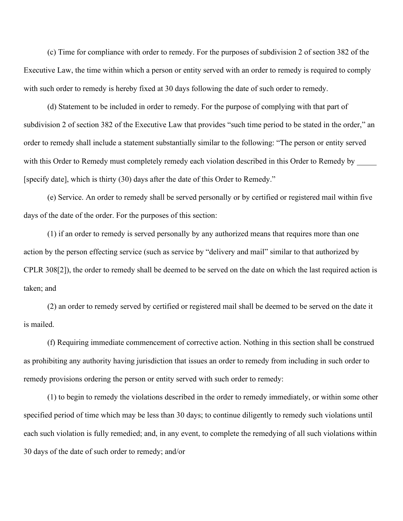(c) Time for compliance with order to remedy. For the purposes of subdivision 2 of section 382 of the Executive Law, the time within which a person or entity served with an order to remedy is required to comply with such order to remedy is hereby fixed at 30 days following the date of such order to remedy.

(d) Statement to be included in order to remedy. For the purpose of complying with that part of subdivision 2 of section 382 of the Executive Law that provides "such time period to be stated in the order," an order to remedy shall include a statement substantially similar to the following: "The person or entity served with this Order to Remedy must completely remedy each violation described in this Order to Remedy by [specify date], which is thirty (30) days after the date of this Order to Remedy."

(e) Service. An order to remedy shall be served personally or by certified or registered mail within five days of the date of the order. For the purposes of this section:

(1) if an order to remedy is served personally by any authorized means that requires more than one action by the person effecting service (such as service by "delivery and mail" similar to that authorized by CPLR 308[2]), the order to remedy shall be deemed to be served on the date on which the last required action is taken; and

(2) an order to remedy served by certified or registered mail shall be deemed to be served on the date it is mailed.

(f) Requiring immediate commencement of corrective action. Nothing in this section shall be construed as prohibiting any authority having jurisdiction that issues an order to remedy from including in such order to remedy provisions ordering the person or entity served with such order to remedy:

(1) to begin to remedy the violations described in the order to remedy immediately, or within some other specified period of time which may be less than 30 days; to continue diligently to remedy such violations until each such violation is fully remedied; and, in any event, to complete the remedying of all such violations within 30 days of the date of such order to remedy; and/or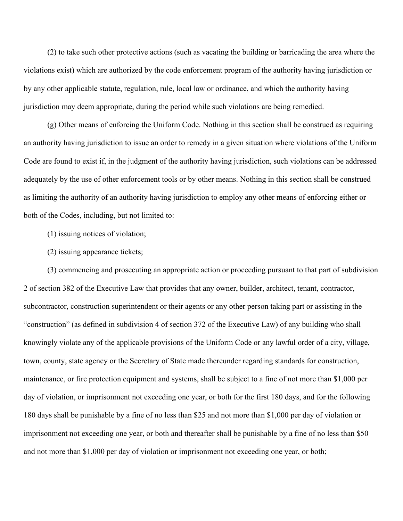(2) to take such other protective actions (such as vacating the building or barricading the area where the violations exist) which are authorized by the code enforcement program of the authority having jurisdiction or by any other applicable statute, regulation, rule, local law or ordinance, and which the authority having jurisdiction may deem appropriate, during the period while such violations are being remedied.

(g) Other means of enforcing the Uniform Code. Nothing in this section shall be construed as requiring an authority having jurisdiction to issue an order to remedy in a given situation where violations of the Uniform Code are found to exist if, in the judgment of the authority having jurisdiction, such violations can be addressed adequately by the use of other enforcement tools or by other means. Nothing in this section shall be construed as limiting the authority of an authority having jurisdiction to employ any other means of enforcing either or both of the Codes, including, but not limited to:

- (1) issuing notices of violation;
- (2) issuing appearance tickets;

(3) commencing and prosecuting an appropriate action or proceeding pursuant to that part of subdivision 2 of section 382 of the Executive Law that provides that any owner, builder, architect, tenant, contractor, subcontractor, construction superintendent or their agents or any other person taking part or assisting in the "construction" (as defined in subdivision 4 of section 372 of the Executive Law) of any building who shall knowingly violate any of the applicable provisions of the Uniform Code or any lawful order of a city, village, town, county, state agency or the Secretary of State made thereunder regarding standards for construction, maintenance, or fire protection equipment and systems, shall be subject to a fine of not more than \$1,000 per day of violation, or imprisonment not exceeding one year, or both for the first 180 days, and for the following 180 days shall be punishable by a fine of no less than \$25 and not more than \$1,000 per day of violation or imprisonment not exceeding one year, or both and thereafter shall be punishable by a fine of no less than \$50 and not more than \$1,000 per day of violation or imprisonment not exceeding one year, or both;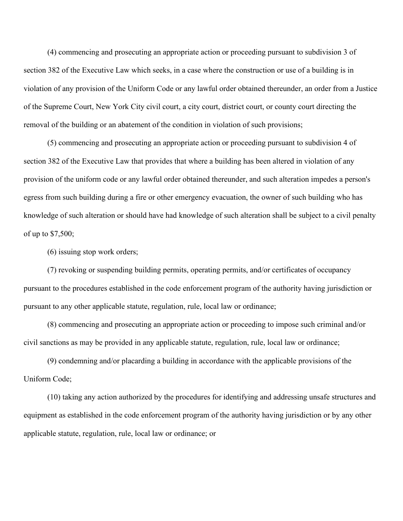(4) commencing and prosecuting an appropriate action or proceeding pursuant to subdivision 3 of section 382 of the Executive Law which seeks, in a case where the construction or use of a building is in violation of any provision of the Uniform Code or any lawful order obtained thereunder, an order from a Justice of the Supreme Court, New York City civil court, a city court, district court, or county court directing the removal of the building or an abatement of the condition in violation of such provisions;

(5) commencing and prosecuting an appropriate action or proceeding pursuant to subdivision 4 of section 382 of the Executive Law that provides that where a building has been altered in violation of any provision of the uniform code or any lawful order obtained thereunder, and such alteration impedes a person's egress from such building during a fire or other emergency evacuation, the owner of such building who has knowledge of such alteration or should have had knowledge of such alteration shall be subject to a civil penalty of up to \$7,500;

(6) issuing stop work orders;

(7) revoking or suspending building permits, operating permits, and/or certificates of occupancy pursuant to the procedures established in the code enforcement program of the authority having jurisdiction or pursuant to any other applicable statute, regulation, rule, local law or ordinance;

(8) commencing and prosecuting an appropriate action or proceeding to impose such criminal and/or civil sanctions as may be provided in any applicable statute, regulation, rule, local law or ordinance;

(9) condemning and/or placarding a building in accordance with the applicable provisions of the Uniform Code;

(10) taking any action authorized by the procedures for identifying and addressing unsafe structures and equipment as established in the code enforcement program of the authority having jurisdiction or by any other applicable statute, regulation, rule, local law or ordinance; or